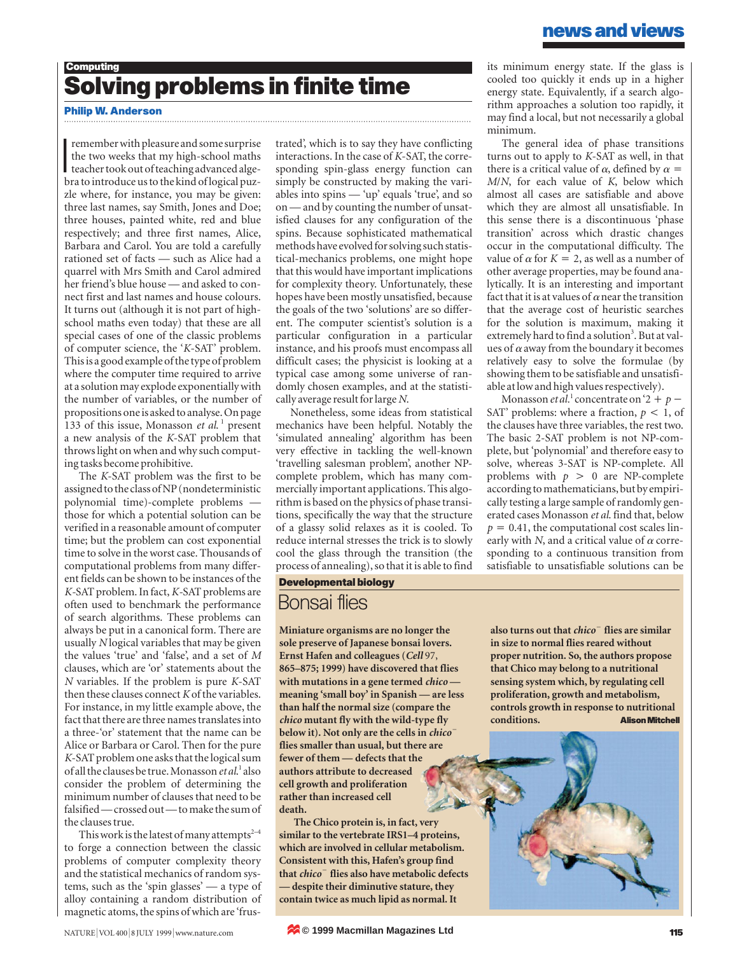### **Computing Solving problems in finite time**

#### **Philip W. Anderson**

|<br>|<br>bi remember with pleasure and some surprise the two weeks that my high-school maths teacher took out of teaching advanced algebra to introduce us to the kind of logical puzzle where, for instance, you may be given: three last names, say Smith, Jones and Doe; three houses, painted white, red and blue respectively; and three first names, Alice, Barbara and Carol. You are told a carefully rationed set of facts — such as Alice had a quarrel with Mrs Smith and Carol admired her friend's blue house — and asked to connect first and last names and house colours. It turns out (although it is not part of highschool maths even today) that these are all special cases of one of the classic problems of computer science, the '*K*-SAT' problem. This is a good example of the type of problem where the computer time required to arrive at a solution may explode exponentially with the number of variables, or the number of propositions one is asked to analyse. On page 133 of this issue, Monasson *et al*. <sup>1</sup> present a new analysis of the *K*-SAT problem that throws light on when and why such computing tasks become prohibitive.

The *K*-SAT problem was the first to be assigned to the class of NP (nondeterministic polynomial time)-complete problems those for which a potential solution can be verified in a reasonable amount of computer time; but the problem can cost exponential time to solve in the worst case. Thousands of computational problems from many different fields can be shown to be instances of the *K-*SAT problem. In fact, *K-*SAT problems are often used to benchmark the performance of search algorithms. These problems can always be put in a canonical form. There are usually *N* logical variables that may be given the values 'true' and 'false', and a set of *M* clauses, which are 'or' statements about the *N* variables. If the problem is pure *K*-SAT then these clauses connect *K* of the variables. For instance, in my little example above, the fact that there are three names translates into a three-'or' statement that the name can be Alice or Barbara or Carol. Then for the pure *K*-SAT problem one asks that the logical sum of all the clauses be true. Monasson *et al*. 1 also consider the problem of determining the minimum number of clauses that need to be falsified — crossed out — to make the sum of the clauses true.

This work is the latest of many attempts<sup> $2-4$ </sup> to forge a connection between the classic problems of computer complexity theory and the statistical mechanics of random systems, such as the 'spin glasses' — a type of alloy containing a random distribution of magnetic atoms, the spins of which are 'frustrated', which is to say they have conflicting interactions. In the case of *K*-SAT, the corresponding spin-glass energy function can simply be constructed by making the variables into spins — 'up' equals 'true', and so on — and by counting the number of unsatisfied clauses for any configuration of the spins. Because sophisticated mathematical methods have evolved for solving such statistical-mechanics problems, one might hope that this would have important implications for complexity theory. Unfortunately, these hopes have been mostly unsatisfied, because the goals of the two 'solutions' are so different. The computer scientist's solution is a particular configuration in a particular instance, and his proofs must encompass all difficult cases; the physicist is looking at a typical case among some universe of randomly chosen examples, and at the statistically average result for large *N*.

Nonetheless, some ideas from statistical mechanics have been helpful. Notably the 'simulated annealing' algorithm has been very effective in tackling the well-known 'travelling salesman problem', another NPcomplete problem, which has many commercially important applications. This algorithm is based on the physics of phase transitions, specifically the way that the structure of a glassy solid relaxes as it is cooled. To reduce internal stresses the trick is to slowly cool the glass through the transition (the process of annealing), so that it is able to find

#### **Developmental biology**

# Bonsai flies

**Miniature organisms are no longer the sole preserve of Japanese bonsai lovers. Ernst Hafen and colleagues (***Cell* 97, **865–875; 1999) have discovered that flies with mutations in a gene termed** *chico*  **meaning 'small boy' in Spanish — are less than half the normal size (compare the** *chico* **mutant fly with the wild-type fly below it). Not only are the cells in** *chico***<sup>-</sup> flies smaller than usual, but there are fewer of them — defects that the authors attribute to decreased cell growth and proliferation rather than increased cell death.** 

**The Chico protein is, in fact, very similar to the vertebrate IRS1–4 proteins, which are involved in cellular metabolism. Consistent with this, Hafen's group find** that *chico*<sup>-</sup> flies also have metabolic defects **— despite their diminutive stature, they contain twice as much lipid as normal. It**

its minimum energy state. If the glass is cooled too quickly it ends up in a higher energy state. Equivalently, if a search algorithm approaches a solution too rapidly, it may find a local, but not necessarily a global minimum.

The general idea of phase transitions turns out to apply to *K*-SAT as well, in that there is a critical value of  $\alpha$ , defined by  $\alpha =$ *M*/*N*, for each value of *K*, below which almost all cases are satisfiable and above which they are almost all unsatisfiable. In this sense there is a discontinuous 'phase transition' across which drastic changes occur in the computational difficulty. The value of  $\alpha$  for  $K = 2$ , as well as a number of other average properties, may be found analytically. It is an interesting and important fact that it is at values of  $\alpha$  near the transition that the average cost of heuristic searches for the solution is maximum, making it extremely hard to find a solution<sup>3</sup>. But at values of  $\alpha$  away from the boundary it becomes relatively easy to solve the formulae (by showing them to be satisfiable and unsatisfiable at low and high values respectively).

Monasson *et al.*<sup>1</sup> concentrate on '2 + p – SAT' problems: where a fraction,  $p < 1$ , of the clauses have three variables, the rest two. The basic 2-SAT problem is not NP-complete, but 'polynomial' and therefore easy to solve, whereas 3-SAT is NP-complete. All problems with  $p > 0$  are NP-complete according to mathematicians, but by empirically testing a large sample of randomly generated cases Monasson *et al*. find that, below  $p = 0.41$ , the computational cost scales linearly with  $N$ , and a critical value of  $\alpha$  corresponding to a continuous transition from satisfiable to unsatisfiable solutions can be

**also turns out that** *chico*<sup>1</sup> **flies are similar in size to normal flies reared without proper nutrition. So, the authors propose that Chico may belong to a nutritional sensing system which, by regulating cell proliferation, growth and metabolism, controls growth in response to nutritional conditions. Alison Mitchell**